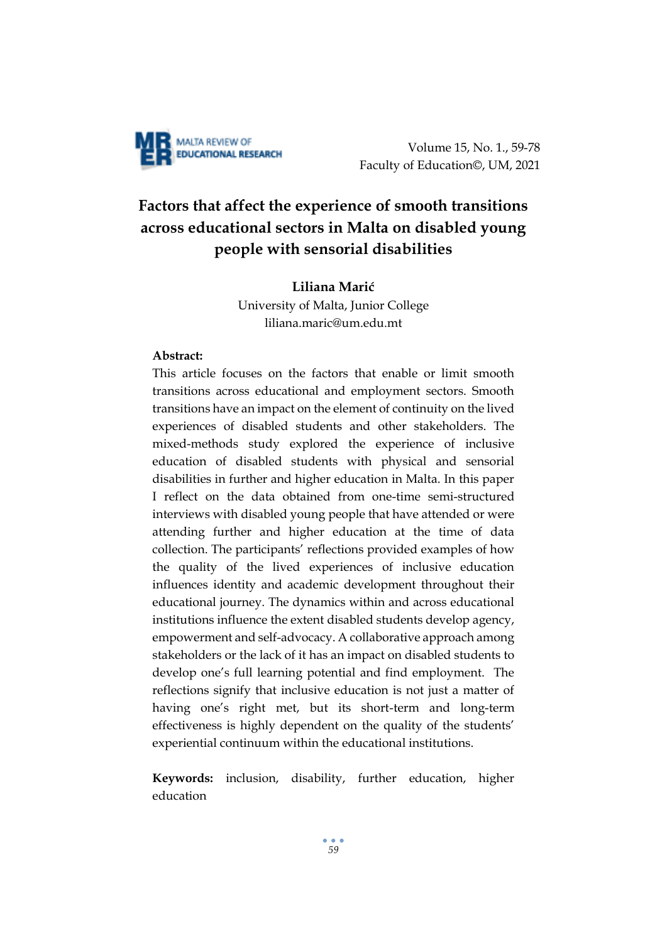

Volume 15, No. 1., 59-78 Faculty of Education©, UM, 2021

# **Factors that affect the experience of smooth transitions across educational sectors in Malta on disabled young people with sensorial disabilities**

# **Liliana Marić**

University of Malta, Junior College [liliana.maric@um.edu.mt](mailto:liliana.maric@um.edu.mt)

# **Abstract:**

This article focuses on the factors that enable or limit smooth transitions across educational and employment sectors. Smooth transitions have an impact on the element of continuity on the lived experiences of disabled students and other stakeholders. The mixed-methods study explored the experience of inclusive education of disabled students with physical and sensorial disabilities in further and higher education in Malta. In this paper I reflect on the data obtained from one-time semi-structured interviews with disabled young people that have attended or were attending further and higher education at the time of data collection. The participants' reflections provided examples of how the quality of the lived experiences of inclusive education influences identity and academic development throughout their educational journey. The dynamics within and across educational institutions influence the extent disabled students develop agency, empowerment and self-advocacy. A collaborative approach among stakeholders or the lack of it has an impact on disabled students to develop one's full learning potential and find employment. The reflections signify that inclusive education is not just a matter of having one's right met, but its short-term and long-term effectiveness is highly dependent on the quality of the students' experiential continuum within the educational institutions.

**Keywords:** inclusion, disability, further education, higher education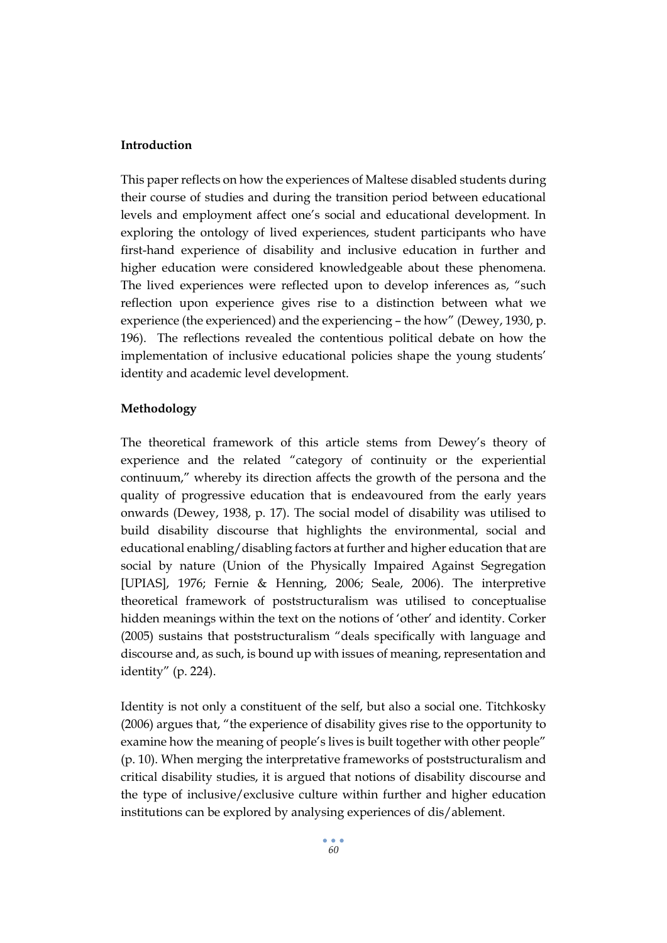# **Introduction**

This paper reflects on how the experiences of Maltese disabled students during their course of studies and during the transition period between educational levels and employment affect one's social and educational development. In exploring the ontology of lived experiences, student participants who have first-hand experience of disability and inclusive education in further and higher education were considered knowledgeable about these phenomena. The lived experiences were reflected upon to develop inferences as, "such reflection upon experience gives rise to a distinction between what we experience (the experienced) and the experiencing – the how" (Dewey, 1930, p. 196). The reflections revealed the contentious political debate on how the implementation of inclusive educational policies shape the young students' identity and academic level development.

#### **Methodology**

The theoretical framework of this article stems from Dewey's theory of experience and the related "category of continuity or the experiential continuum," whereby its direction affects the growth of the persona and the quality of progressive education that is endeavoured from the early years onwards (Dewey, 1938, p. 17). The social model of disability was utilised to build disability discourse that highlights the environmental, social and educational enabling/disabling factors at further and higher education that are social by nature (Union of the Physically Impaired Against Segregation [UPIAS], 1976; Fernie & Henning, 2006; Seale, 2006). The interpretive theoretical framework of poststructuralism was utilised to conceptualise hidden meanings within the text on the notions of 'other' and identity. Corker (2005) sustains that poststructuralism "deals specifically with language and discourse and, as such, is bound up with issues of meaning, representation and identity" (p. 224).

Identity is not only a constituent of the self, but also a social one. Titchkosky (2006) argues that, "the experience of disability gives rise to the opportunity to examine how the meaning of people's lives is built together with other people" (p. 10). When merging the interpretative frameworks of poststructuralism and critical disability studies, it is argued that notions of disability discourse and the type of inclusive/exclusive culture within further and higher education institutions can be explored by analysing experiences of dis/ablement.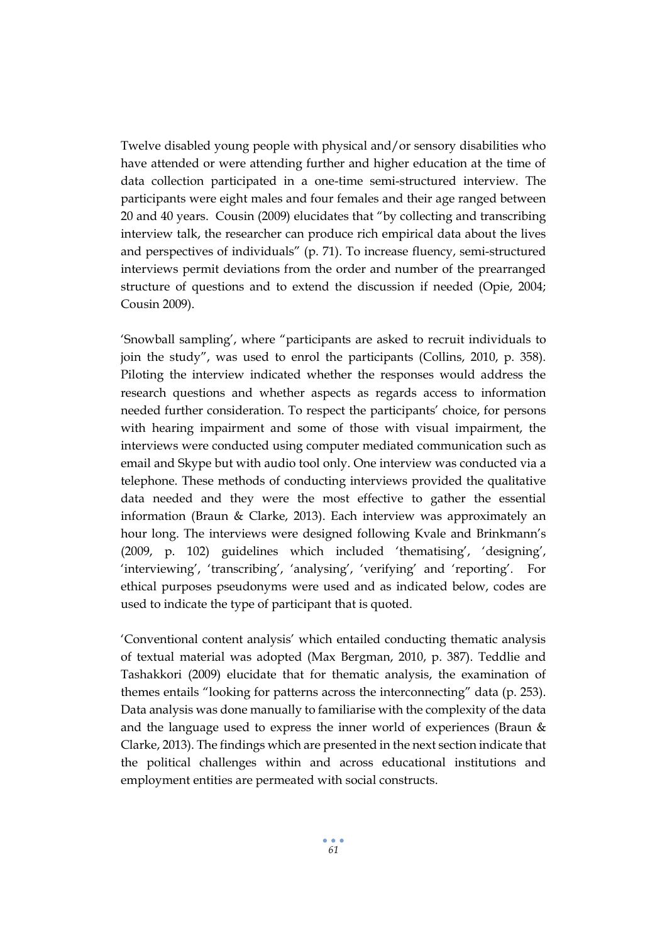Twelve disabled young people with physical and/or sensory disabilities who have attended or were attending further and higher education at the time of data collection participated in a one-time semi-structured interview. The participants were eight males and four females and their age ranged between 20 and 40 years. Cousin (2009) elucidates that "by collecting and transcribing interview talk, the researcher can produce rich empirical data about the lives and perspectives of individuals" (p. 71). To increase fluency, semi-structured interviews permit deviations from the order and number of the prearranged structure of questions and to extend the discussion if needed (Opie, 2004; Cousin 2009).

'Snowball sampling', where "participants are asked to recruit individuals to join the study", was used to enrol the participants (Collins, 2010, p. 358). Piloting the interview indicated whether the responses would address the research questions and whether aspects as regards access to information needed further consideration. To respect the participants' choice, for persons with hearing impairment and some of those with visual impairment, the interviews were conducted using computer mediated communication such as email and Skype but with audio tool only. One interview was conducted via a telephone. These methods of conducting interviews provided the qualitative data needed and they were the most effective to gather the essential information (Braun & Clarke, 2013). Each interview was approximately an hour long. The interviews were designed following Kvale and Brinkmann's (2009, p. 102) guidelines which included 'thematising', 'designing', 'interviewing', 'transcribing', 'analysing', 'verifying' and 'reporting'. For ethical purposes pseudonyms were used and as indicated below, codes are used to indicate the type of participant that is quoted.

'Conventional content analysis' which entailed conducting thematic analysis of textual material was adopted (Max Bergman, 2010, p. 387). Teddlie and Tashakkori (2009) elucidate that for thematic analysis, the examination of themes entails "looking for patterns across the interconnecting" data (p. 253). Data analysis was done manually to familiarise with the complexity of the data and the language used to express the inner world of experiences (Braun & Clarke, 2013). The findings which are presented in the next section indicate that the political challenges within and across educational institutions and employment entities are permeated with social constructs.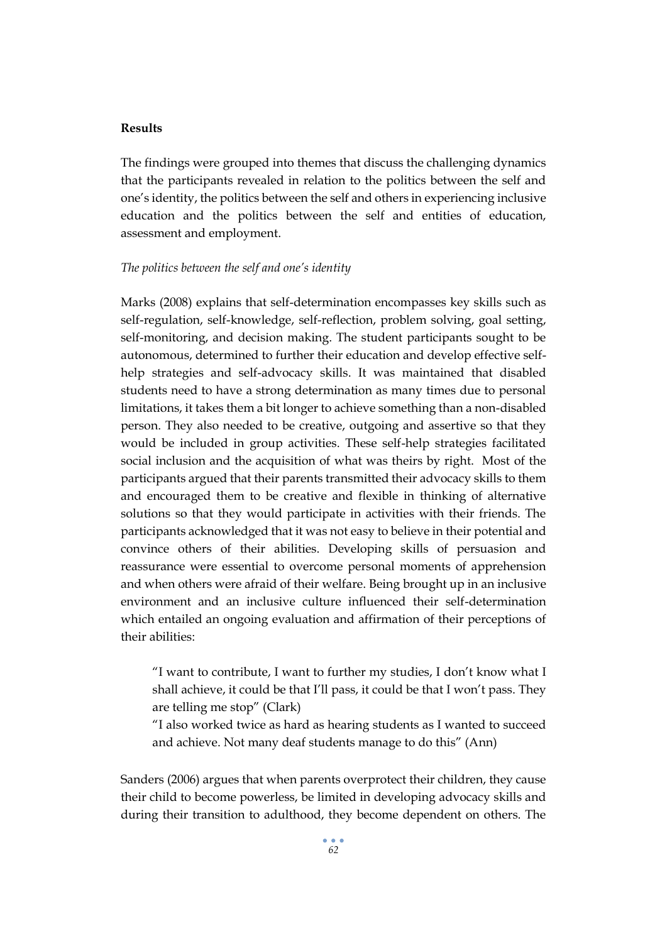#### **Results**

The findings were grouped into themes that discuss the challenging dynamics that the participants revealed in relation to the politics between the self and one's identity, the politics between the self and others in experiencing inclusive education and the politics between the self and entities of education, assessment and employment.

#### *The politics between the self and one's identity*

Marks (2008) explains that self-determination encompasses key skills such as self-regulation, self-knowledge, self-reflection, problem solving, goal setting, self-monitoring, and decision making. The student participants sought to be autonomous, determined to further their education and develop effective selfhelp strategies and self-advocacy skills. It was maintained that disabled students need to have a strong determination as many times due to personal limitations, it takes them a bit longer to achieve something than a non-disabled person. They also needed to be creative, outgoing and assertive so that they would be included in group activities. These self-help strategies facilitated social inclusion and the acquisition of what was theirs by right. Most of the participants argued that their parents transmitted their advocacy skills to them and encouraged them to be creative and flexible in thinking of alternative solutions so that they would participate in activities with their friends. The participants acknowledged that it was not easy to believe in their potential and convince others of their abilities. Developing skills of persuasion and reassurance were essential to overcome personal moments of apprehension and when others were afraid of their welfare. Being brought up in an inclusive environment and an inclusive culture influenced their self-determination which entailed an ongoing evaluation and affirmation of their perceptions of their abilities:

"I want to contribute, I want to further my studies, I don't know what I shall achieve, it could be that I'll pass, it could be that I won't pass. They are telling me stop" (Clark)

"I also worked twice as hard as hearing students as I wanted to succeed and achieve. Not many deaf students manage to do this" (Ann)

Sanders (2006) argues that when parents overprotect their children, they cause their child to become powerless, be limited in developing advocacy skills and during their transition to adulthood, they become dependent on others. The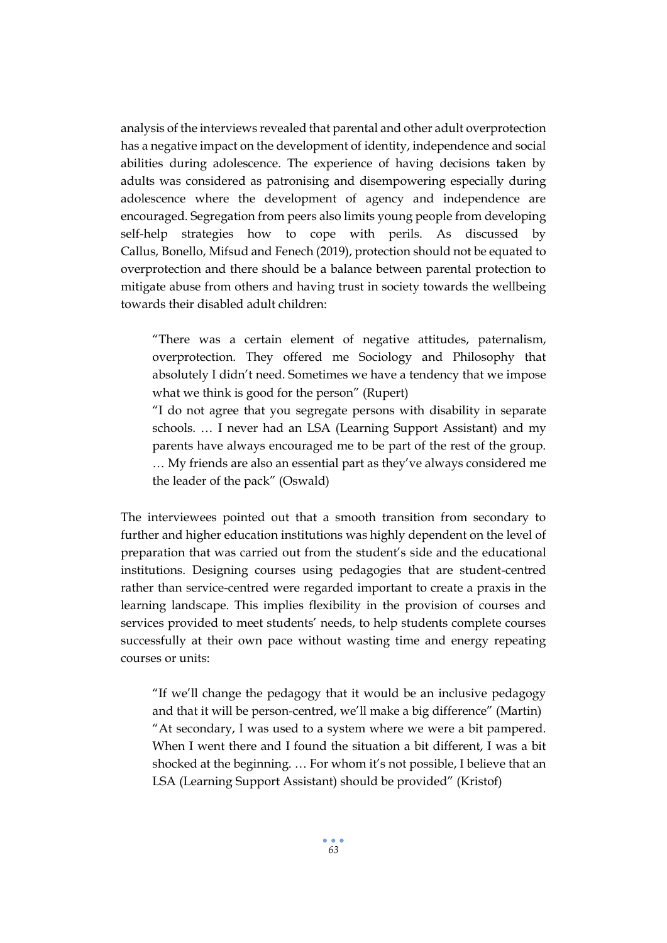analysis of the interviews revealed that parental and other adult overprotection has a negative impact on the development of identity, independence and social abilities during adolescence. The experience of having decisions taken by adults was considered as patronising and disempowering especially during adolescence where the development of agency and independence are encouraged. Segregation from peers also limits young people from developing self-help strategies how to cope with perils. As discussed by Callus, Bonello, Mifsud and Fenech (2019), protection should not be equated to overprotection and there should be a balance between parental protection to mitigate abuse from others and having trust in society towards the wellbeing towards their disabled adult children:

"There was a certain element of negative attitudes, paternalism, overprotection. They offered me Sociology and Philosophy that absolutely I didn't need. Sometimes we have a tendency that we impose what we think is good for the person" (Rupert)

"I do not agree that you segregate persons with disability in separate schools. … I never had an LSA (Learning Support Assistant) and my parents have always encouraged me to be part of the rest of the group. … My friends are also an essential part as they've always considered me the leader of the pack" (Oswald)

The interviewees pointed out that a smooth transition from secondary to further and higher education institutions was highly dependent on the level of preparation that was carried out from the student's side and the educational institutions. Designing courses using pedagogies that are student-centred rather than service-centred were regarded important to create a praxis in the learning landscape. This implies flexibility in the provision of courses and services provided to meet students' needs, to help students complete courses successfully at their own pace without wasting time and energy repeating courses or units:

"If we'll change the pedagogy that it would be an inclusive pedagogy and that it will be person-centred, we'll make a big difference" (Martin) "At secondary, I was used to a system where we were a bit pampered. When I went there and I found the situation a bit different, I was a bit shocked at the beginning. … For whom it's not possible, I believe that an LSA (Learning Support Assistant) should be provided" (Kristof)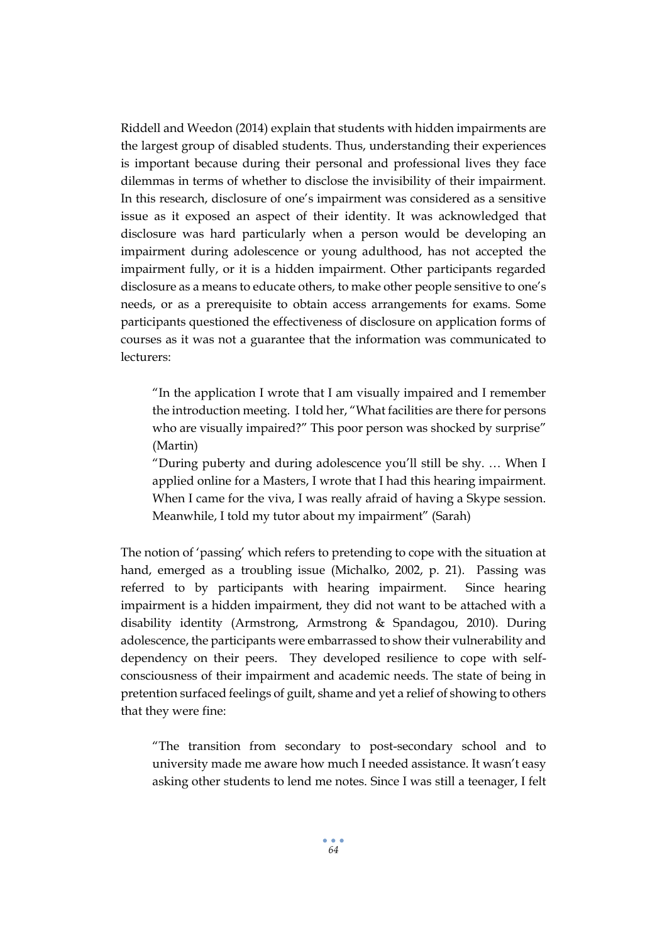Riddell and Weedon (2014) explain that students with hidden impairments are the largest group of disabled students. Thus, understanding their experiences is important because during their personal and professional lives they face dilemmas in terms of whether to disclose the invisibility of their impairment. In this research, disclosure of one's impairment was considered as a sensitive issue as it exposed an aspect of their identity. It was acknowledged that disclosure was hard particularly when a person would be developing an impairment during adolescence or young adulthood, has not accepted the impairment fully, or it is a hidden impairment. Other participants regarded disclosure as a means to educate others, to make other people sensitive to one's needs, or as a prerequisite to obtain access arrangements for exams. Some participants questioned the effectiveness of disclosure on application forms of courses as it was not a guarantee that the information was communicated to lecturers:

"In the application I wrote that I am visually impaired and I remember the introduction meeting. I told her, "What facilities are there for persons who are visually impaired?" This poor person was shocked by surprise" (Martin)

"During puberty and during adolescence you'll still be shy. … When I applied online for a Masters, I wrote that I had this hearing impairment. When I came for the viva, I was really afraid of having a Skype session. Meanwhile, I told my tutor about my impairment" (Sarah)

The notion of 'passing' which refers to pretending to cope with the situation at hand, emerged as a troubling issue (Michalko, 2002, p. 21). Passing was referred to by participants with hearing impairment. Since hearing impairment is a hidden impairment, they did not want to be attached with a disability identity (Armstrong, Armstrong & Spandagou, 2010). During adolescence, the participants were embarrassed to show their vulnerability and dependency on their peers. They developed resilience to cope with selfconsciousness of their impairment and academic needs. The state of being in pretention surfaced feelings of guilt, shame and yet a relief of showing to others that they were fine:

"The transition from secondary to post-secondary school and to university made me aware how much I needed assistance. It wasn't easy asking other students to lend me notes. Since I was still a teenager, I felt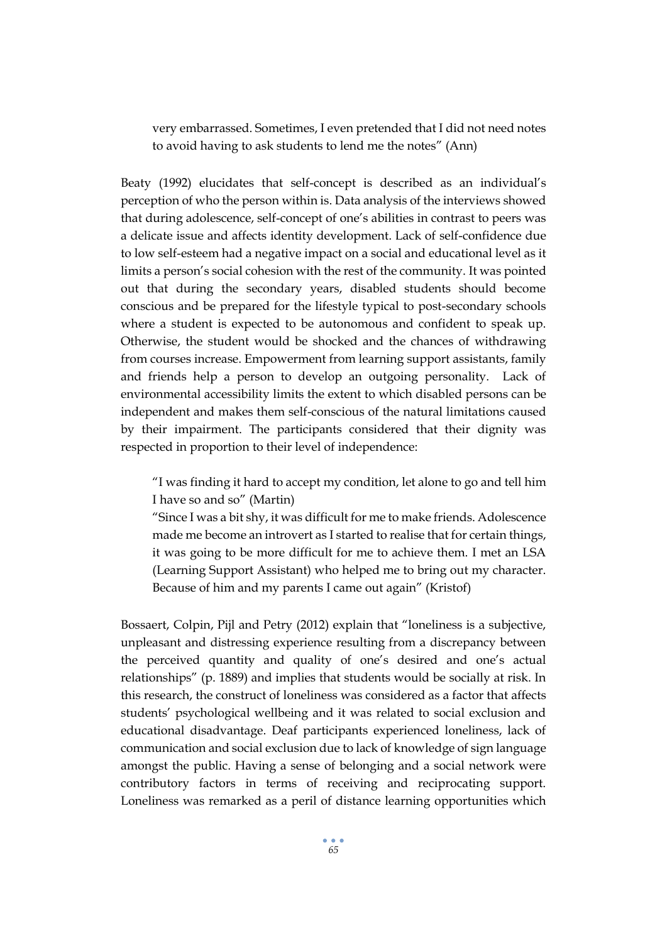very embarrassed. Sometimes, I even pretended that I did not need notes to avoid having to ask students to lend me the notes" (Ann)

Beaty (1992) elucidates that self-concept is described as an individual's perception of who the person within is. Data analysis of the interviews showed that during adolescence, self-concept of one's abilities in contrast to peers was a delicate issue and affects identity development. Lack of self-confidence due to low self-esteem had a negative impact on a social and educational level as it limits a person's social cohesion with the rest of the community. It was pointed out that during the secondary years, disabled students should become conscious and be prepared for the lifestyle typical to post-secondary schools where a student is expected to be autonomous and confident to speak up. Otherwise, the student would be shocked and the chances of withdrawing from courses increase. Empowerment from learning support assistants, family and friends help a person to develop an outgoing personality. Lack of environmental accessibility limits the extent to which disabled persons can be independent and makes them self-conscious of the natural limitations caused by their impairment. The participants considered that their dignity was respected in proportion to their level of independence:

"I was finding it hard to accept my condition, let alone to go and tell him I have so and so" (Martin)

"Since I was a bit shy, it was difficult for me to make friends. Adolescence made me become an introvert as I started to realise that for certain things, it was going to be more difficult for me to achieve them. I met an LSA (Learning Support Assistant) who helped me to bring out my character. Because of him and my parents I came out again" (Kristof)

Bossaert, Colpin, Pijl and Petry (2012) explain that "loneliness is a subjective, unpleasant and distressing experience resulting from a discrepancy between the perceived quantity and quality of one's desired and one's actual relationships" (p. 1889) and implies that students would be socially at risk. In this research, the construct of loneliness was considered as a factor that affects students' psychological wellbeing and it was related to social exclusion and educational disadvantage. Deaf participants experienced loneliness, lack of communication and social exclusion due to lack of knowledge of sign language amongst the public. Having a sense of belonging and a social network were contributory factors in terms of receiving and reciprocating support. Loneliness was remarked as a peril of distance learning opportunities which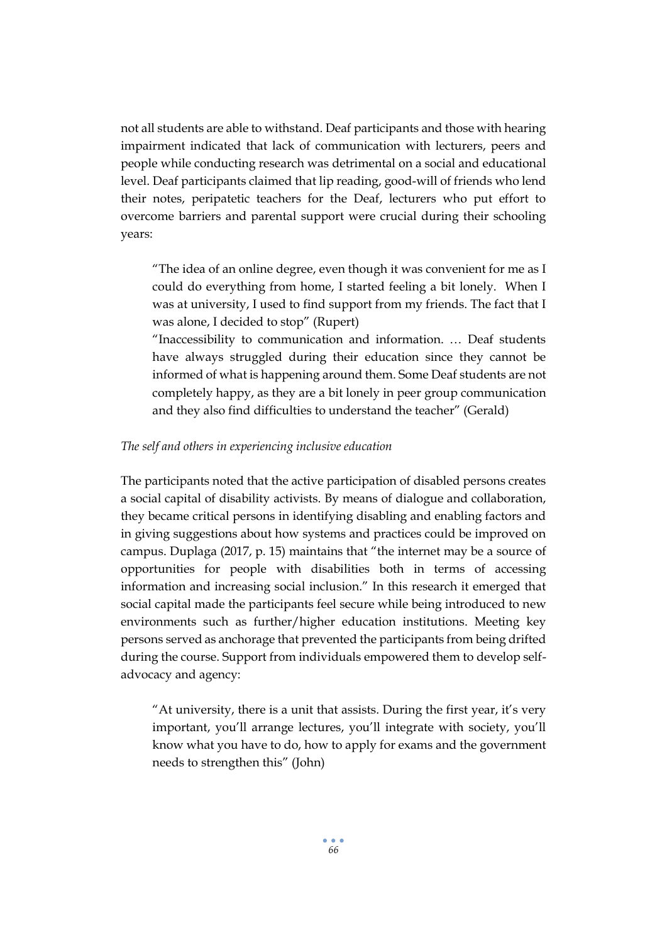not all students are able to withstand. Deaf participants and those with hearing impairment indicated that lack of communication with lecturers, peers and people while conducting research was detrimental on a social and educational level. Deaf participants claimed that lip reading, good-will of friends who lend their notes, peripatetic teachers for the Deaf, lecturers who put effort to overcome barriers and parental support were crucial during their schooling years:

"The idea of an online degree, even though it was convenient for me as I could do everything from home, I started feeling a bit lonely. When I was at university, I used to find support from my friends. The fact that I was alone, I decided to stop" (Rupert)

"Inaccessibility to communication and information. … Deaf students have always struggled during their education since they cannot be informed of what is happening around them. Some Deaf students are not completely happy, as they are a bit lonely in peer group communication and they also find difficulties to understand the teacher" (Gerald)

# *The self and others in experiencing inclusive education*

The participants noted that the active participation of disabled persons creates a social capital of disability activists. By means of dialogue and collaboration, they became critical persons in identifying disabling and enabling factors and in giving suggestions about how systems and practices could be improved on campus. Duplaga (2017, p. 15) maintains that "the internet may be a source of opportunities for people with disabilities both in terms of accessing information and increasing social inclusion." In this research it emerged that social capital made the participants feel secure while being introduced to new environments such as further/higher education institutions. Meeting key persons served as anchorage that prevented the participants from being drifted during the course. Support from individuals empowered them to develop selfadvocacy and agency:

"At university, there is a unit that assists. During the first year, it's very important, you'll arrange lectures, you'll integrate with society, you'll know what you have to do, how to apply for exams and the government needs to strengthen this" (John)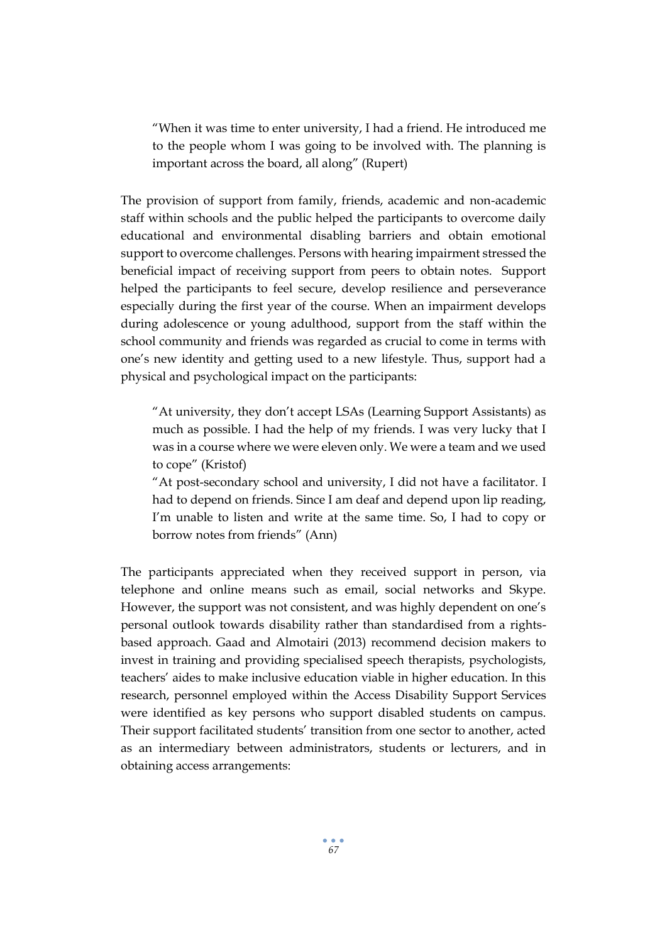"When it was time to enter university, I had a friend. He introduced me to the people whom I was going to be involved with. The planning is important across the board, all along" (Rupert)

The provision of support from family, friends, academic and non-academic staff within schools and the public helped the participants to overcome daily educational and environmental disabling barriers and obtain emotional support to overcome challenges. Persons with hearing impairment stressed the beneficial impact of receiving support from peers to obtain notes. Support helped the participants to feel secure, develop resilience and perseverance especially during the first year of the course. When an impairment develops during adolescence or young adulthood, support from the staff within the school community and friends was regarded as crucial to come in terms with one's new identity and getting used to a new lifestyle. Thus, support had a physical and psychological impact on the participants:

"At university, they don't accept LSAs (Learning Support Assistants) as much as possible. I had the help of my friends. I was very lucky that I was in a course where we were eleven only. We were a team and we used to cope" (Kristof)

"At post-secondary school and university, I did not have a facilitator. I had to depend on friends. Since I am deaf and depend upon lip reading, I'm unable to listen and write at the same time. So, I had to copy or borrow notes from friends" (Ann)

The participants appreciated when they received support in person, via telephone and online means such as email, social networks and Skype. However, the support was not consistent, and was highly dependent on one's personal outlook towards disability rather than standardised from a rightsbased approach. Gaad and Almotairi (2013) recommend decision makers to invest in training and providing specialised speech therapists, psychologists, teachers' aides to make inclusive education viable in higher education. In this research, personnel employed within the Access Disability Support Services were identified as key persons who support disabled students on campus. Their support facilitated students' transition from one sector to another, acted as an intermediary between administrators, students or lecturers, and in obtaining access arrangements: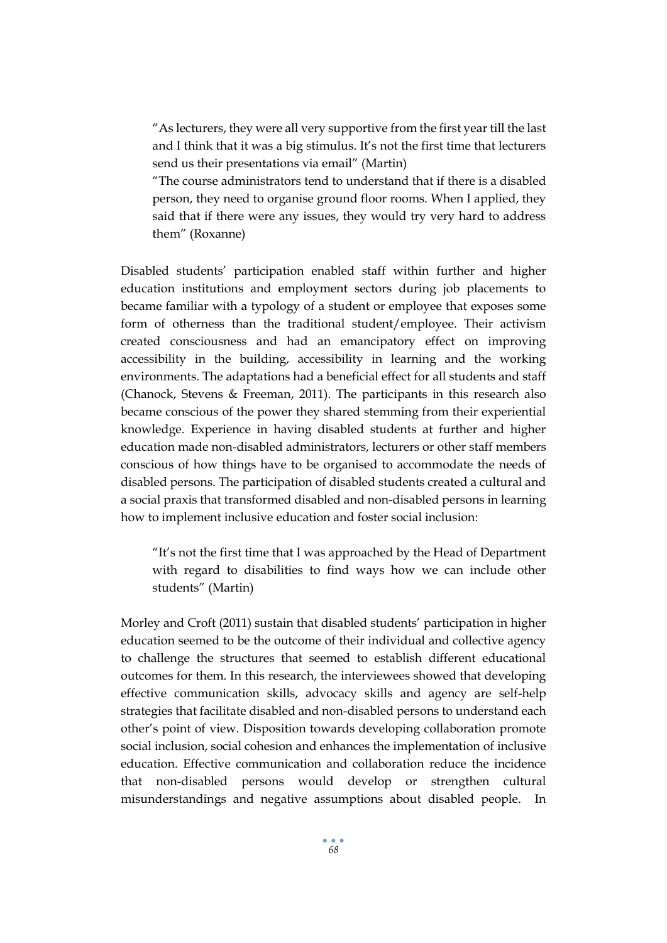"As lecturers, they were all very supportive from the first year till the last and I think that it was a big stimulus. It's not the first time that lecturers send us their presentations via email" (Martin)

"The course administrators tend to understand that if there is a disabled person, they need to organise ground floor rooms. When I applied, they said that if there were any issues, they would try very hard to address them" (Roxanne)

Disabled students' participation enabled staff within further and higher education institutions and employment sectors during job placements to became familiar with a typology of a student or employee that exposes some form of otherness than the traditional student/employee. Their activism created consciousness and had an emancipatory effect on improving accessibility in the building, accessibility in learning and the working environments. The adaptations had a beneficial effect for all students and staff (Chanock, Stevens & Freeman, 2011). The participants in this research also became conscious of the power they shared stemming from their experiential knowledge. Experience in having disabled students at further and higher education made non-disabled administrators, lecturers or other staff members conscious of how things have to be organised to accommodate the needs of disabled persons. The participation of disabled students created a cultural and a social praxis that transformed disabled and non-disabled persons in learning how to implement inclusive education and foster social inclusion:

"It's not the first time that I was approached by the Head of Department with regard to disabilities to find ways how we can include other students" (Martin)

Morley and Croft (2011) sustain that disabled students' participation in higher education seemed to be the outcome of their individual and collective agency to challenge the structures that seemed to establish different educational outcomes for them. In this research, the interviewees showed that developing effective communication skills, advocacy skills and agency are self-help strategies that facilitate disabled and non-disabled persons to understand each other's point of view. Disposition towards developing collaboration promote social inclusion, social cohesion and enhances the implementation of inclusive education. Effective communication and collaboration reduce the incidence that non-disabled persons would develop or strengthen cultural misunderstandings and negative assumptions about disabled people. In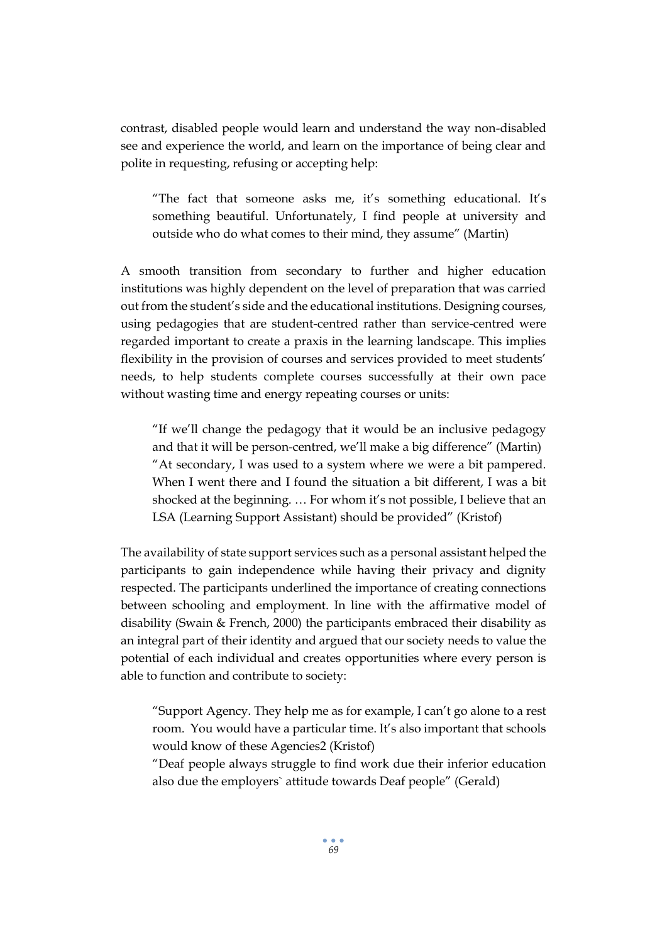contrast, disabled people would learn and understand the way non-disabled see and experience the world, and learn on the importance of being clear and polite in requesting, refusing or accepting help:

"The fact that someone asks me, it's something educational. It's something beautiful. Unfortunately, I find people at university and outside who do what comes to their mind, they assume" (Martin)

A smooth transition from secondary to further and higher education institutions was highly dependent on the level of preparation that was carried out from the student's side and the educational institutions. Designing courses, using pedagogies that are student-centred rather than service-centred were regarded important to create a praxis in the learning landscape. This implies flexibility in the provision of courses and services provided to meet students' needs, to help students complete courses successfully at their own pace without wasting time and energy repeating courses or units:

"If we'll change the pedagogy that it would be an inclusive pedagogy and that it will be person-centred, we'll make a big difference" (Martin) "At secondary, I was used to a system where we were a bit pampered. When I went there and I found the situation a bit different, I was a bit shocked at the beginning. … For whom it's not possible, I believe that an LSA (Learning Support Assistant) should be provided" (Kristof)

The availability of state support services such as a personal assistant helped the participants to gain independence while having their privacy and dignity respected. The participants underlined the importance of creating connections between schooling and employment. In line with the affirmative model of disability (Swain & French, 2000) the participants embraced their disability as an integral part of their identity and argued that our society needs to value the potential of each individual and creates opportunities where every person is able to function and contribute to society:

"Support Agency. They help me as for example, I can't go alone to a rest room. You would have a particular time. It's also important that schools would know of these Agencies2 (Kristof)

"Deaf people always struggle to find work due their inferior education also due the employers` attitude towards Deaf people" (Gerald)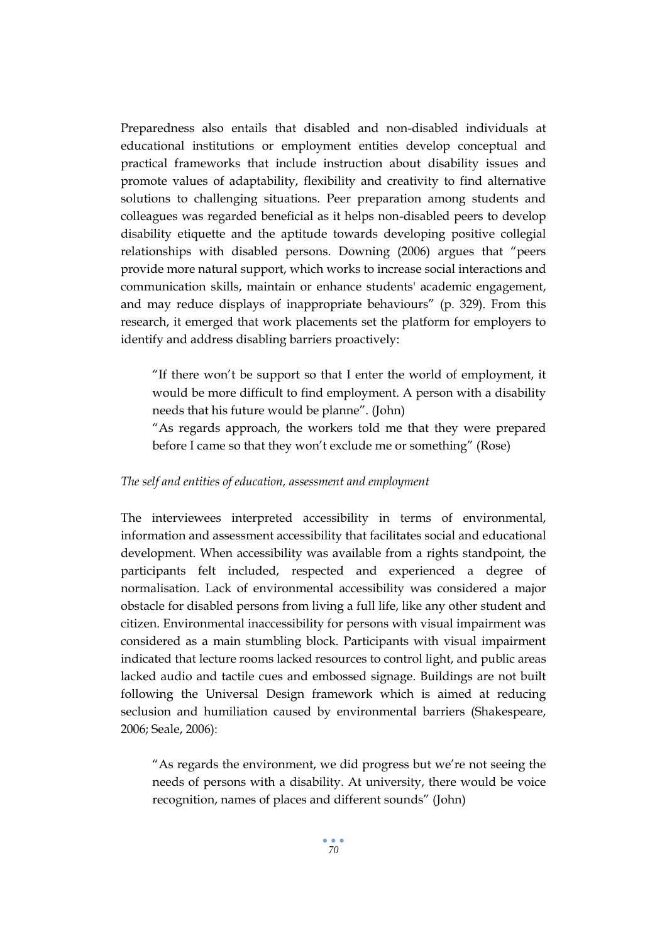Preparedness also entails that disabled and non-disabled individuals at educational institutions or employment entities develop conceptual and practical frameworks that include instruction about disability issues and promote values of adaptability, flexibility and creativity to find alternative solutions to challenging situations. Peer preparation among students and colleagues was regarded beneficial as it helps non-disabled peers to develop disability etiquette and the aptitude towards developing positive collegial relationships with disabled persons. Downing (2006) argues that "peers provide more natural support, which works to increase social interactions and communication skills, maintain or enhance students' academic engagement, and may reduce displays of inappropriate behaviours" (p. 329). From this research, it emerged that work placements set the platform for employers to identify and address disabling barriers proactively:

"If there won't be support so that I enter the world of employment, it would be more difficult to find employment. A person with a disability needs that his future would be planne". (John)

"As regards approach, the workers told me that they were prepared before I came so that they won't exclude me or something" (Rose)

#### *The self and entities of education, assessment and employment*

The interviewees interpreted accessibility in terms of environmental, information and assessment accessibility that facilitates social and educational development. When accessibility was available from a rights standpoint, the participants felt included, respected and experienced a degree of normalisation. Lack of environmental accessibility was considered a major obstacle for disabled persons from living a full life, like any other student and citizen. Environmental inaccessibility for persons with visual impairment was considered as a main stumbling block. Participants with visual impairment indicated that lecture rooms lacked resources to control light, and public areas lacked audio and tactile cues and embossed signage. Buildings are not built following the Universal Design framework which is aimed at reducing seclusion and humiliation caused by environmental barriers (Shakespeare, 2006; Seale, 2006):

"As regards the environment, we did progress but we're not seeing the needs of persons with a disability. At university, there would be voice recognition, names of places and different sounds" (John)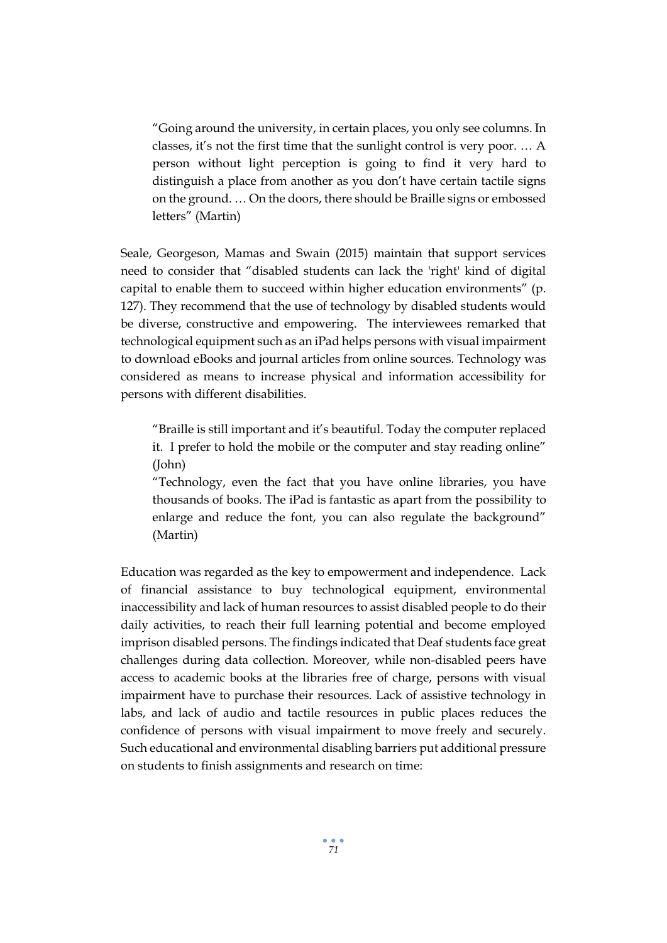"Going around the university, in certain places, you only see columns. In classes, it's not the first time that the sunlight control is very poor. … A person without light perception is going to find it very hard to distinguish a place from another as you don't have certain tactile signs on the ground. … On the doors, there should be Braille signs or embossed letters" (Martin)

Seale, Georgeson, Mamas and Swain (2015) maintain that support services need to consider that "disabled students can lack the 'right' kind of digital capital to enable them to succeed within higher education environments" (p. 127). They recommend that the use of technology by disabled students would be diverse, constructive and empowering. The interviewees remarked that technological equipment such as an iPad helps persons with visual impairment to download eBooks and journal articles from online sources. Technology was considered as means to increase physical and information accessibility for persons with different disabilities.

"Braille is still important and it's beautiful. Today the computer replaced it. I prefer to hold the mobile or the computer and stay reading online" (John)

"Technology, even the fact that you have online libraries, you have thousands of books. The iPad is fantastic as apart from the possibility to enlarge and reduce the font, you can also regulate the background" (Martin)

Education was regarded as the key to empowerment and independence. Lack of financial assistance to buy technological equipment, environmental inaccessibility and lack of human resources to assist disabled people to do their daily activities, to reach their full learning potential and become employed imprison disabled persons. The findings indicated that Deaf students face great challenges during data collection. Moreover, while non-disabled peers have access to academic books at the libraries free of charge, persons with visual impairment have to purchase their resources. Lack of assistive technology in labs, and lack of audio and tactile resources in public places reduces the confidence of persons with visual impairment to move freely and securely. Such educational and environmental disabling barriers put additional pressure on students to finish assignments and research on time: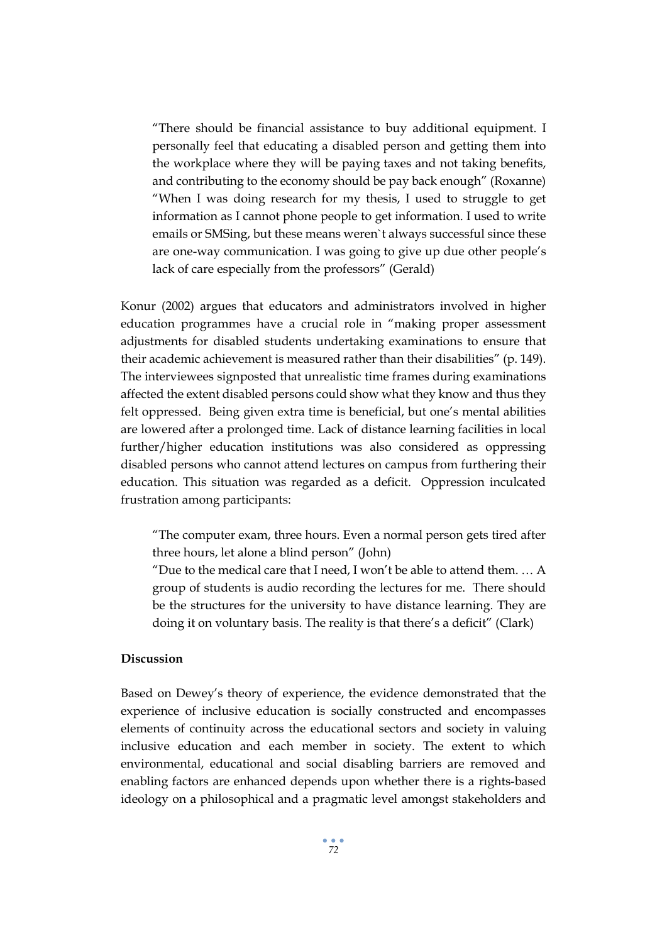"There should be financial assistance to buy additional equipment. I personally feel that educating a disabled person and getting them into the workplace where they will be paying taxes and not taking benefits, and contributing to the economy should be pay back enough" (Roxanne) "When I was doing research for my thesis, I used to struggle to get information as I cannot phone people to get information. I used to write emails or SMSing, but these means weren`t always successful since these are one-way communication. I was going to give up due other people's lack of care especially from the professors" (Gerald)

Konur (2002) argues that educators and administrators involved in higher education programmes have a crucial role in "making proper assessment adjustments for disabled students undertaking examinations to ensure that their academic achievement is measured rather than their disabilities" (p. 149). The interviewees signposted that unrealistic time frames during examinations affected the extent disabled persons could show what they know and thus they felt oppressed. Being given extra time is beneficial, but one's mental abilities are lowered after a prolonged time. Lack of distance learning facilities in local further/higher education institutions was also considered as oppressing disabled persons who cannot attend lectures on campus from furthering their education. This situation was regarded as a deficit. Oppression inculcated frustration among participants:

"The computer exam, three hours. Even a normal person gets tired after three hours, let alone a blind person" (John)

"Due to the medical care that I need, I won't be able to attend them. … A group of students is audio recording the lectures for me. There should be the structures for the university to have distance learning. They are doing it on voluntary basis. The reality is that there's a deficit" (Clark)

# **Discussion**

Based on Dewey's theory of experience, the evidence demonstrated that the experience of inclusive education is socially constructed and encompasses elements of continuity across the educational sectors and society in valuing inclusive education and each member in society. The extent to which environmental, educational and social disabling barriers are removed and enabling factors are enhanced depends upon whether there is a rights-based ideology on a philosophical and a pragmatic level amongst stakeholders and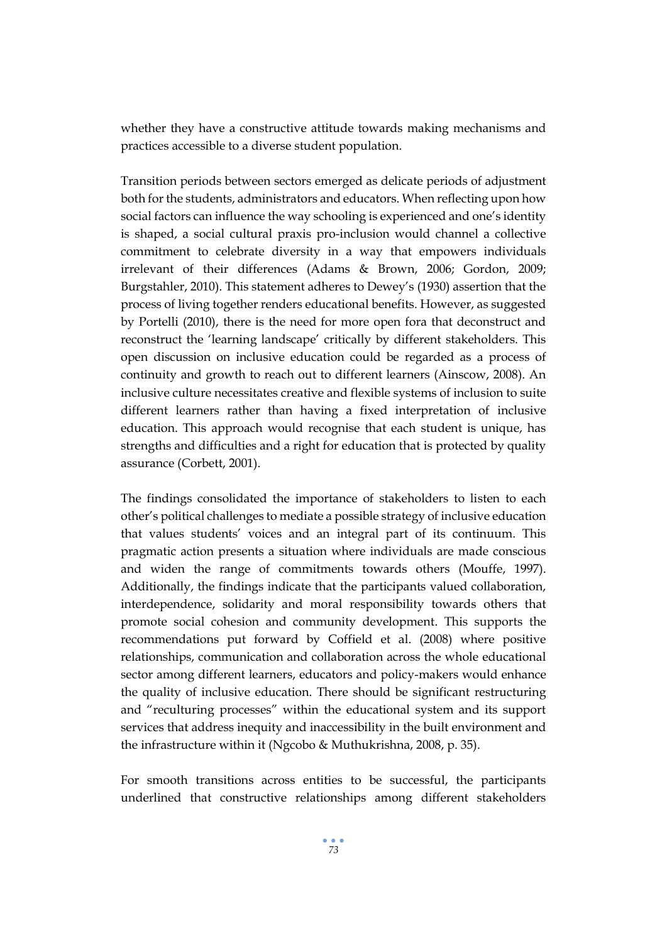whether they have a constructive attitude towards making mechanisms and practices accessible to a diverse student population.

Transition periods between sectors emerged as delicate periods of adjustment both for the students, administrators and educators. When reflecting upon how social factors can influence the way schooling is experienced and one's identity is shaped, a social cultural praxis pro-inclusion would channel a collective commitment to celebrate diversity in a way that empowers individuals irrelevant of their differences (Adams & Brown, 2006; Gordon, 2009; Burgstahler, 2010). This statement adheres to Dewey's (1930) assertion that the process of living together renders educational benefits. However, as suggested by Portelli (2010), there is the need for more open fora that deconstruct and reconstruct the 'learning landscape' critically by different stakeholders. This open discussion on inclusive education could be regarded as a process of continuity and growth to reach out to different learners (Ainscow, 2008). An inclusive culture necessitates creative and flexible systems of inclusion to suite different learners rather than having a fixed interpretation of inclusive education. This approach would recognise that each student is unique, has strengths and difficulties and a right for education that is protected by quality assurance (Corbett, 2001).

The findings consolidated the importance of stakeholders to listen to each other's political challenges to mediate a possible strategy of inclusive education that values students' voices and an integral part of its continuum. This pragmatic action presents a situation where individuals are made conscious and widen the range of commitments towards others (Mouffe, 1997). Additionally, the findings indicate that the participants valued collaboration, interdependence, solidarity and moral responsibility towards others that promote social cohesion and community development. This supports the recommendations put forward by Coffield et al. (2008) where positive relationships, communication and collaboration across the whole educational sector among different learners, educators and policy-makers would enhance the quality of inclusive education. There should be significant restructuring and "reculturing processes" within the educational system and its support services that address inequity and inaccessibility in the built environment and the infrastructure within it (Ngcobo & Muthukrishna, 2008, p. 35).

For smooth transitions across entities to be successful, the participants underlined that constructive relationships among different stakeholders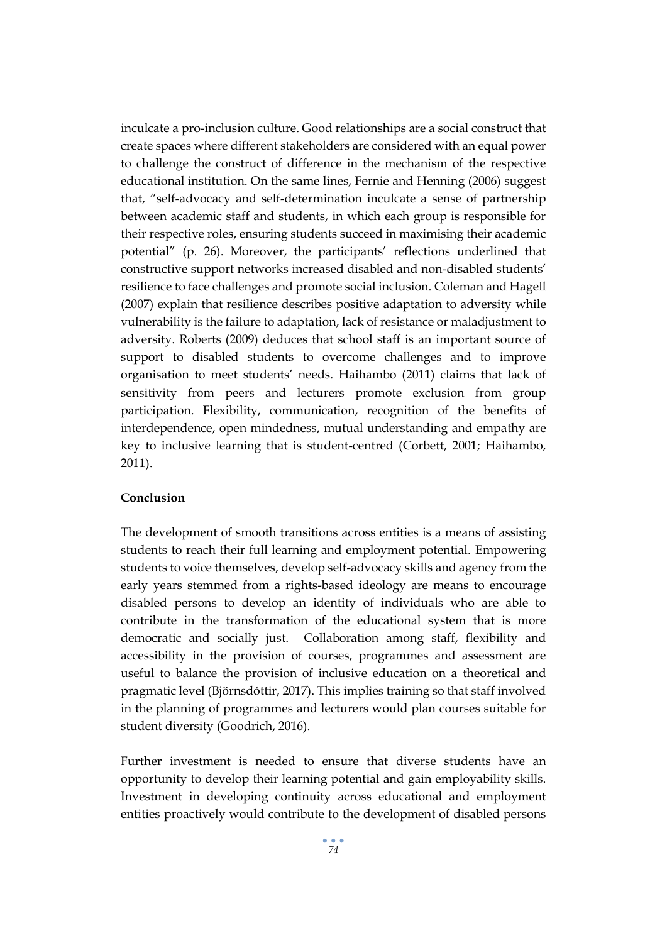inculcate a pro-inclusion culture. Good relationships are a social construct that create spaces where different stakeholders are considered with an equal power to challenge the construct of difference in the mechanism of the respective educational institution. On the same lines, Fernie and Henning (2006) suggest that, "self-advocacy and self-determination inculcate a sense of partnership between academic staff and students, in which each group is responsible for their respective roles, ensuring students succeed in maximising their academic potential" (p. 26). Moreover, the participants' reflections underlined that constructive support networks increased disabled and non-disabled students' resilience to face challenges and promote social inclusion. Coleman and Hagell (2007) explain that resilience describes positive adaptation to adversity while vulnerability is the failure to adaptation, lack of resistance or maladjustment to adversity. Roberts (2009) deduces that school staff is an important source of support to disabled students to overcome challenges and to improve organisation to meet students' needs. Haihambo (2011) claims that lack of sensitivity from peers and lecturers promote exclusion from group participation. Flexibility, communication, recognition of the benefits of interdependence, open mindedness, mutual understanding and empathy are key to inclusive learning that is student-centred (Corbett, 2001; Haihambo, 2011).

# **Conclusion**

The development of smooth transitions across entities is a means of assisting students to reach their full learning and employment potential. Empowering students to voice themselves, develop self-advocacy skills and agency from the early years stemmed from a rights-based ideology are means to encourage disabled persons to develop an identity of individuals who are able to contribute in the transformation of the educational system that is more democratic and socially just. Collaboration among staff, flexibility and accessibility in the provision of courses, programmes and assessment are useful to balance the provision of inclusive education on a theoretical and pragmatic level (Björnsdóttir, 2017). This implies training so that staff involved in the planning of programmes and lecturers would plan courses suitable for student diversity (Goodrich, 2016).

Further investment is needed to ensure that diverse students have an opportunity to develop their learning potential and gain employability skills. Investment in developing continuity across educational and employment entities proactively would contribute to the development of disabled persons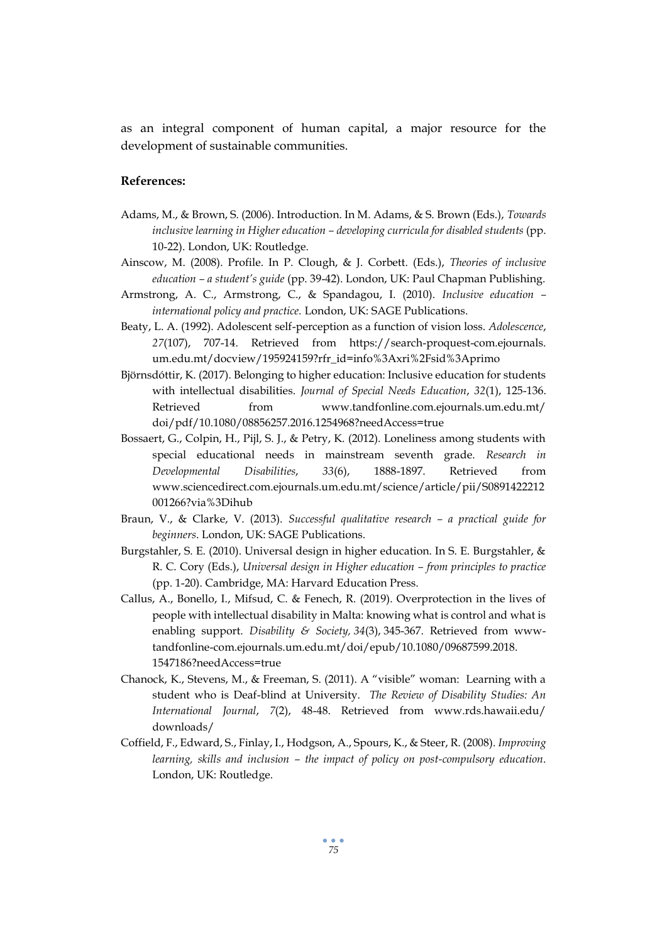as an integral component of human capital, a major resource for the development of sustainable communities.

# **References:**

- Adams, M., & Brown, S. (2006). Introduction. In M. Adams, & S. Brown (Eds.), *Towards inclusive learning in Higher education – developing curricula for disabled students* (pp. 10-22). London, UK: Routledge.
- Ainscow, M. (2008). Profile. In P. Clough, & J. Corbett. (Eds.), *Theories of inclusive education – a student's guide* (pp. 39-42). London, UK: Paul Chapman Publishing.
- Armstrong, A. C., Armstrong, C., & Spandagou, I. (2010). *Inclusive education – international policy and practice.* London, UK: SAGE Publications.
- Beaty, L. A. (1992). Adolescent self-perception as a function of vision loss. *Adolescence*, *27*(107), 707-14. Retrieved from [https://search-proquest-com.ejournals.](https://search-proquest-com.ejournals/) um.edu.mt/docview/195924159?rfr\_id=info%3Axri%2Fsid%3Aprimo
- Björnsdóttir, K. (2017). Belonging to higher education: Inclusive education for students with intellectual disabilities. *Journal of Special Needs Education*, *32*(1), 125-136. Retrieved from [www.tandfonline.com.ejournals.um.edu.mt/](http://www.tandfonline.com.ejournals.um.edu.mt/) doi/pdf/10.1080/08856257.2016.1254968?needAccess=true
- Bossaert, G., Colpin, H., Pijl, S. J., & Petry, K. (2012). Loneliness among students with special educational needs in mainstream seventh grade. *Research in Developmental Disabilities*, *33*(6), 1888-1897. Retrieved from www.sciencedirect.com.ejournals.um.edu.mt/science/article/pii/S0891422212 001266?via%3Dihub
- Braun, V., & Clarke, V. (2013). *Successful qualitative research – a practical guide for beginners*. London, UK: SAGE Publications.
- Burgstahler, S. E. (2010). Universal design in higher education. In S. E. Burgstahler, & R. C. Cory (Eds.), *Universal design in Higher education – from principles to practice* (pp. 1-20). Cambridge, MA: Harvard Education Press.
- Callus, A., Bonello, I., Mifsud, C. & Fenech, R. (2019). Overprotection in the lives of people with intellectual disability in Malta: knowing what is control and what is enabling support. *Disability & Society, 34*(3), 345-367. Retrieved from wwwtandfonline-com.ejournals.um.edu.mt/doi/epub/10.1080/09687599.2018. 1547186?needAccess=true
- Chanock, K., Stevens, M., & Freeman, S. (2011). A "visible" woman: Learning with a student who is Deaf-blind at University. *The Review of Disability Studies: An International Journal*, *7*(2), 48-48. Retrieved from [www.rds.hawaii.edu/](http://www.rds.hawaii.edu/%20downloads/)  [downloads/](http://www.rds.hawaii.edu/%20downloads/)
- Coffield, F., Edward, S., Finlay, I., Hodgson, A., Spours, K., & Steer, R. (2008). *Improving learning, skills and inclusion – the impact of policy on post-compulsory education*. London, UK: Routledge.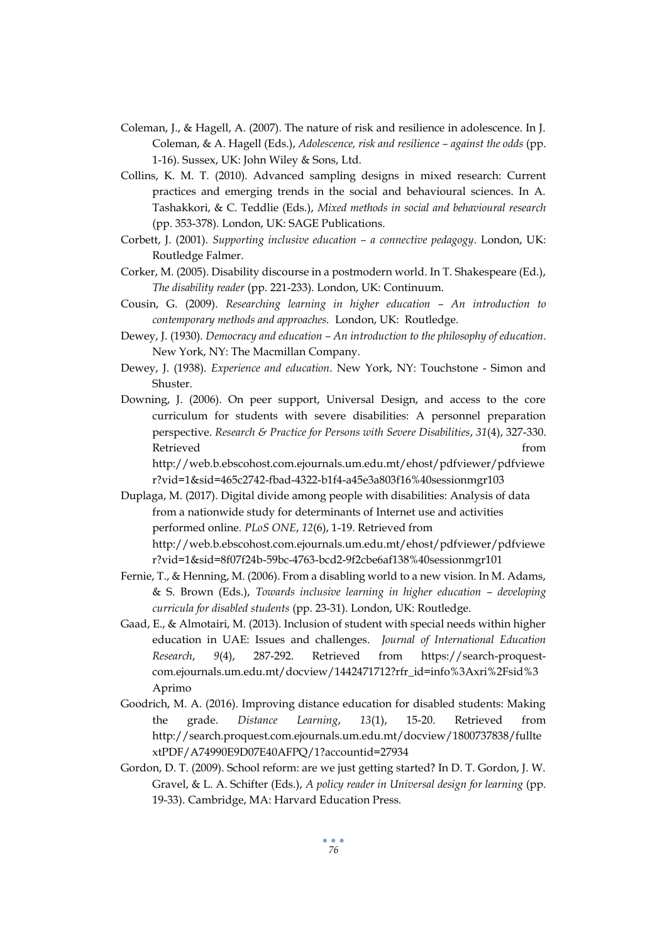- Coleman, J., & Hagell, A. (2007). The nature of risk and resilience in adolescence. In J. Coleman, & A. Hagell (Eds.), *Adolescence, risk and resilience – against the odds* (pp. 1-16). Sussex, UK: John Wiley & Sons, Ltd.
- Collins, K. M. T. (2010). Advanced sampling designs in mixed research: Current practices and emerging trends in the social and behavioural sciences. In A. Tashakkori, & C. Teddlie (Eds.), *Mixed methods in social and behavioural research* (pp. 353-378). London, UK: SAGE Publications.
- Corbett, J. (2001). *Supporting inclusive education – a connective pedagogy*. London, UK: Routledge Falmer.
- Corker, M. (2005). Disability discourse in a postmodern world. In T. Shakespeare (Ed.), *The disability reader* (pp. 221-233). London, UK: Continuum.
- Cousin, G. (2009). *Researching learning in higher education – An introduction to contemporary methods and approaches.* London, UK: Routledge.
- Dewey, J. (1930). *Democracy and education – An introduction to the philosophy of education*. New York, NY: The Macmillan Company.
- Dewey, J. (1938). *Experience and education*. New York, NY: Touchstone Simon and Shuster.
- Downing, J. (2006). On peer support, Universal Design, and access to the core curriculum for students with severe disabilities: A personnel preparation perspective. *Research & Practice for Persons with Severe Disabilities*, *31*(4), 327-330. Retrieved from the state of the state of the state of the state of the state of the state of the state of the state of the state of the state of the state of the state of the state of the state of the state of the state of

http://web.b.ebscohost.com.ejournals.um.edu.mt/ehost/pdfviewer/pdfviewe r?vid=1&sid=465c2742-fbad-4322-b1f4-a45e3a803f16%40sessionmgr103

Duplaga, M. (2017). Digital divide among people with disabilities: Analysis of data from a nationwide study for determinants of Internet use and activities performed online. *PLoS ONE*, *12*(6), 1-19. Retrieved from http://web.b.ebscohost.com.ejournals.um.edu.mt/ehost/pdfviewer/pdfviewe r?vid=1&sid=8f07f24b-59bc-4763-bcd2-9f2cbe6af138%40sessionmgr101

- Fernie, T., & Henning, M. (2006). From a disabling world to a new vision. In M. Adams, & S. Brown (Eds.), *Towards inclusive learning in higher education – developing curricula for disabled students* (pp. 23-31). London, UK: Routledge.
- Gaad, E., & Almotairi, M. (2013). Inclusion of student with special needs within higher education in UAE: Issues and challenges. *Journal of International Education Research*, *9*(4), 287-292. Retrieved from https://search-proquestcom.ejournals.um.edu.mt/docview/1442471712?rfr\_id=info%3Axri%2Fsid%3 Aprimo
- Goodrich, M. A. (2016). Improving distance education for disabled students: Making the grade. *Distance Learning*, *13*(1), 15-20. Retrieved from http://search.proquest.com.ejournals.um.edu.mt/docview/1800737838/fullte xtPDF/A74990E9D07E40AFPQ/1?accountid=27934
- Gordon, D. T. (2009). School reform: are we just getting started? In D. T. Gordon, J. W. Gravel, & L. A. Schifter (Eds.), *A policy reader in Universal design for learning* (pp. 19-33). Cambridge, MA: Harvard Education Press.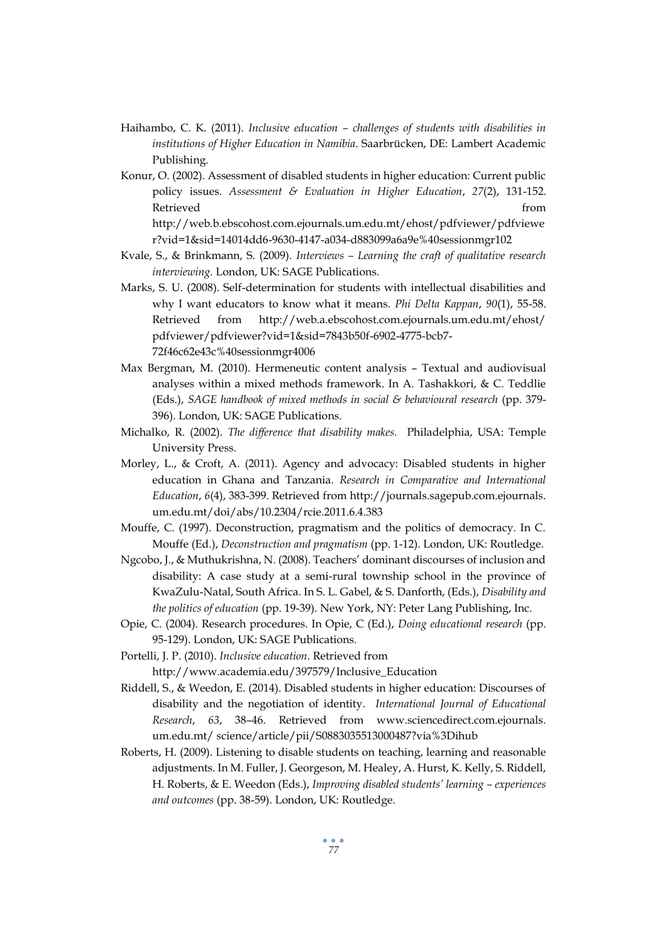- Haihambo, C. K. (2011). *Inclusive education – challenges of students with disabilities in institutions of Higher Education in Namibia*. Saarbrücken, DE: Lambert Academic Publishing.
- Konur, O. (2002). Assessment of disabled students in higher education: Current public policy issues. *Assessment & Evaluation in Higher Education*, *27*(2), 131-152. Retrieved from the state of the state of the state of the state of the state of the state of the state of the state of the state of the state of the state of the state of the state of the state of the state of the state of http://web.b.ebscohost.com.ejournals.um.edu.mt/ehost/pdfviewer/pdfviewe

r?vid=1&sid=14014dd6-9630-4147-a034-d883099a6a9e%40sessionmgr102

- Kvale, S., & Brinkmann, S. (2009). *Interviews – Learning the craft of qualitative research interviewing.* London, UK: SAGE Publications.
- Marks, S. U. (2008). Self-determination for students with intellectual disabilities and why I want educators to know what it means. *Phi Delta Kappan*, *90*(1), 55-58. Retrieved from <http://web.a.ebscohost.com.ejournals.um.edu.mt/ehost/> pdfviewer/pdfviewer?vid=1&sid=7843b50f-6902-4775-bcb7- 72f46c62e43c%40sessionmgr4006
- Max Bergman, M. (2010). Hermeneutic content analysis Textual and audiovisual analyses within a mixed methods framework. In A. Tashakkori, & C. Teddlie (Eds.), *SAGE handbook of mixed methods in social & behavioural research* (pp. 379- 396). London, UK: SAGE Publications.
- Michalko, R. (2002). *The difference that disability makes.* Philadelphia, USA: Temple University Press.
- Morley, L., & Croft, A. (2011). Agency and advocacy: Disabled students in higher education in Ghana and Tanzania. *Research in Comparative and International Education*, *6*(4), 383-399. Retrieved from [http://journals.sagepub.com.ejournals.](http://journals.sagepub.com.ejournals/) um.edu.mt/doi/abs/10.2304/rcie.2011.6.4.383
- Mouffe, C. (1997). Deconstruction, pragmatism and the politics of democracy. In C. Mouffe (Ed.), *Deconstruction and pragmatism* (pp. 1-12). London, UK: Routledge.
- Ngcobo, J., & Muthukrishna, N. (2008). Teachers' dominant discourses of inclusion and disability: A case study at a semi-rural township school in the province of KwaZulu-Natal, South Africa. In S. L. Gabel, & S. Danforth, (Eds.), *Disability and the politics of education* (pp. 19-39). New York, NY: Peter Lang Publishing, Inc.
- Opie, C. (2004). Research procedures. In Opie, C (Ed.), *Doing educational research* (pp. 95-129). London, UK: SAGE Publications.
- Portelli, J. P. (2010). *Inclusive education*. Retrieved from http://www.academia.edu/397579/Inclusive\_Education
- Riddell, S., & Weedon, E. (2014). Disabled students in higher education: Discourses of disability and the negotiation of identity. *International Journal of Educational Research*, *63*, 38–46. Retrieved from [www.sciencedirect.com.ejournals.](http://www.sciencedirect.com.ejournals/) um.edu.mt/ science/article/pii/S0883035513000487?via%3Dihub
- Roberts, H. (2009). Listening to disable students on teaching, learning and reasonable adjustments. In M. Fuller, J. Georgeson, M. Healey, A. Hurst, K. Kelly, S. Riddell, H. Roberts, & E. Weedon (Eds.), *Improving disabled students' learning – experiences and outcomes* (pp. 38-59). London, UK: Routledge.